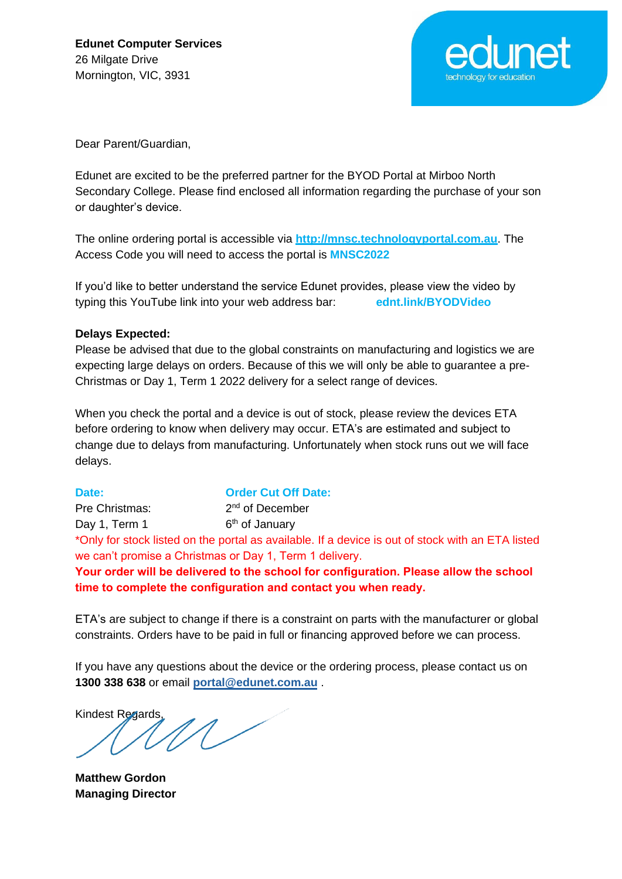

Dear Parent/Guardian,

Edunet are excited to be the preferred partner for the BYOD Portal at Mirboo North Secondary College. Please find enclosed all information regarding the purchase of your son or daughter's device.

The online ordering portal is accessible via **http://mnsc.technologyportal.com.au**. The Access Code you will need to access the portal is **MNSC2022**

If you'd like to better understand the service Edunet provides, please view the video by typing this YouTube link into your web address bar: **ednt.link/BYODVideo**

#### **Delays Expected:**

Please be advised that due to the global constraints on manufacturing and logistics we are expecting large delays on orders. Because of this we will only be able to guarantee a pre-Christmas or Day 1, Term 1 2022 delivery for a select range of devices.

When you check the portal and a device is out of stock, please review the devices ETA before ordering to know when delivery may occur. ETA's are estimated and subject to change due to delays from manufacturing. Unfortunately when stock runs out we will face delays.

**Date: Order Cut Off Date:** Pre Christmas: 2<sup>nd</sup> of December Day 1, Term 1  $6<sup>th</sup>$  of January \*Only for stock listed on the portal as available. If a device is out of stock with an ETA listed we can't promise a Christmas or Day 1, Term 1 delivery. **Your order will be delivered to the school for configuration. Please allow the school time to complete the configuration and contact you when ready.**

ETA's are subject to change if there is a constraint on parts with the manufacturer or global constraints. Orders have to be paid in full or financing approved before we can process.

If you have any questions about the device or the ordering process, please contact us on **1300 338 638** or email **[portal@edunet.com.au](mailto:portal@edunet.com.au)** .

Kindest Regards,

**Matthew Gordon Managing Director**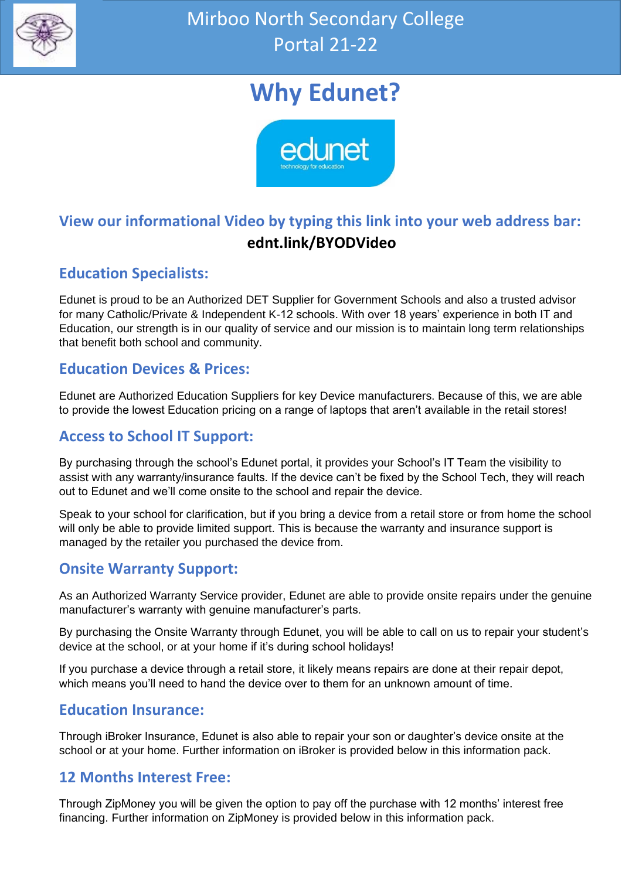

## **Why Edunet?**



### **View our informational Video by typing this link into your web address bar: ednt.link/BYODVideo**

### **Education Specialists:**

Edunet is proud to be an Authorized DET Supplier for Government Schools and also a trusted advisor for many Catholic/Private & Independent K-12 schools. With over 18 years' experience in both IT and Education, our strength is in our quality of service and our mission is to maintain long term relationships that benefit both school and community.

### **Education Devices & Prices:**

Edunet are Authorized Education Suppliers for key Device manufacturers. Because of this, we are able to provide the lowest Education pricing on a range of laptops that aren't available in the retail stores!

### **Access to School IT Support:**

By purchasing through the school's Edunet portal, it provides your School's IT Team the visibility to assist with any warranty/insurance faults. If the device can't be fixed by the School Tech, they will reach out to Edunet and we'll come onsite to the school and repair the device.

Speak to your school for clarification, but if you bring a device from a retail store or from home the school will only be able to provide limited support. This is because the warranty and insurance support is managed by the retailer you purchased the device from.

### **Onsite Warranty Support:**

As an Authorized Warranty Service provider, Edunet are able to provide onsite repairs under the genuine manufacturer's warranty with genuine manufacturer's parts.

By purchasing the Onsite Warranty through Edunet, you will be able to call on us to repair your student's device at the school, or at your home if it's during school holidays!

If you purchase a device through a retail store, it likely means repairs are done at their repair depot, which means you'll need to hand the device over to them for an unknown amount of time.

### **Education Insurance:**

Through iBroker Insurance, Edunet is also able to repair your son or daughter's device onsite at the school or at your home. Further information on iBroker is provided below in this information pack.

### **12 Months Interest Free:**

Through ZipMoney you will be given the option to pay off the purchase with 12 months' interest free financing. Further information on ZipMoney is provided below in this information pack.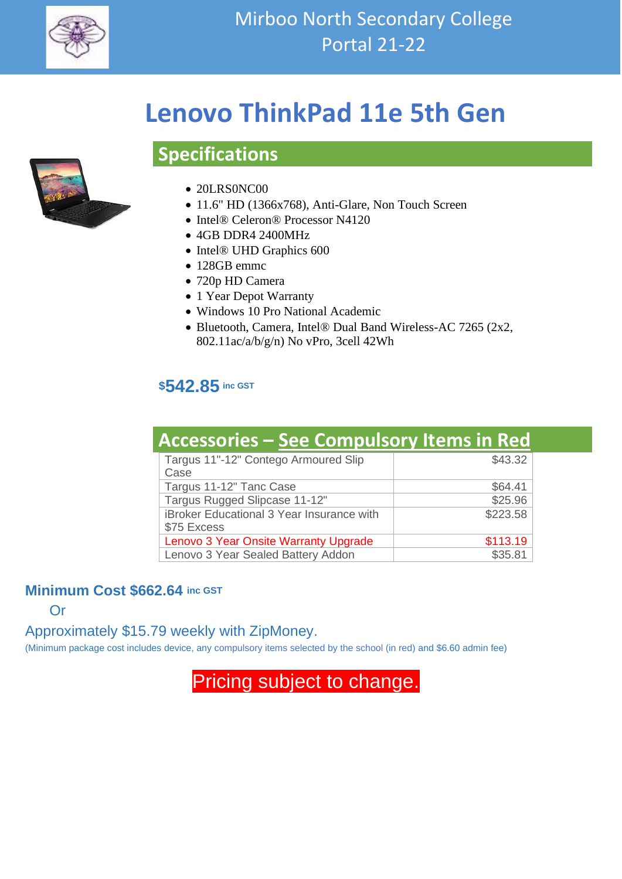

## **Lenovo ThinkPad 11e 5th Gen**



### • 20LRS0NC00

**Specifications**

- 11.6" HD (1366x768), Anti-Glare, Non Touch Screen
- Intel® Celeron® Processor N4120
- 4GB DDR4 2400MHz
- Intel® UHD Graphics 600
- 128GB emmc
- 720p HD Camera
- 1 Year Depot Warranty
- Windows 10 Pro National Academic
- Bluetooth, Camera, Intel® Dual Band Wireless-AC 7265 (2x2, 802.11ac/a/b/g/n) No vPro, 3cell 42Wh

### **\$542.85 inc GST**

| <b>Accessories - See Compulsory Items in Red</b>         |          |
|----------------------------------------------------------|----------|
| Targus 11"-12" Contego Armoured Slip<br>Case             | \$43.32  |
| Targus 11-12" Tanc Case                                  | \$64.41  |
| Targus Rugged Slipcase 11-12"                            | \$25.96  |
| iBroker Educational 3 Year Insurance with<br>\$75 Excess | \$223.58 |
| Lenovo 3 Year Onsite Warranty Upgrade                    | \$113.19 |
| Lenovo 3 Year Sealed Battery Addon                       | \$35.81  |

### **Minimum Cost \$662.64 inc GST**

**Or** 

### Approximately \$15.79 weekly with ZipMoney.

(Minimum package cost includes device, any compulsory items selected by the school (in red) and \$6.60 admin fee)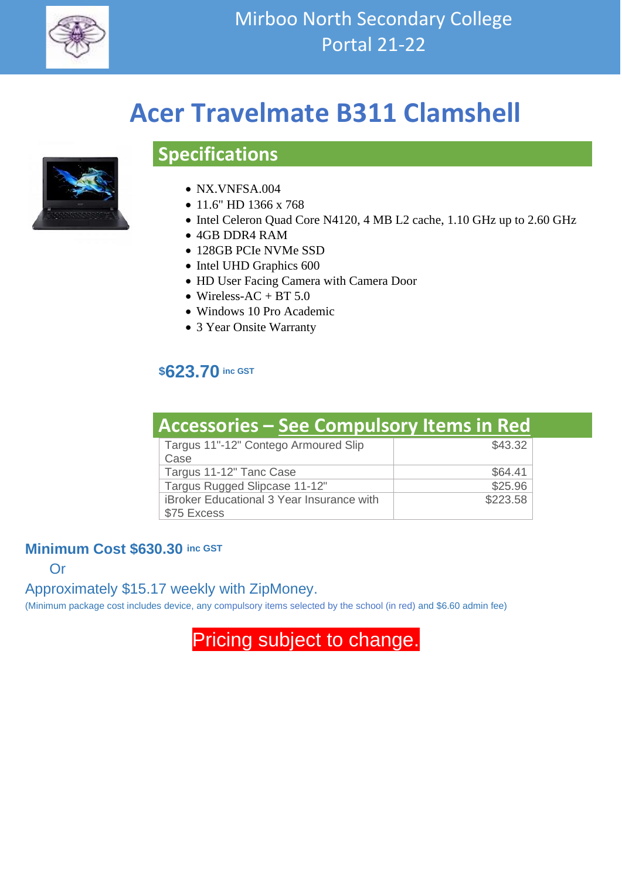

## **Acer Travelmate B311 Clamshell**



## • NX.VNFSA.004

**Specifications**

- 
- 11.6" HD 1366 x 768
- Intel Celeron Quad Core N4120, 4 MB L2 cache, 1.10 GHz up to 2.60 GHz
- 4GB DDR4 RAM
- 128GB PCIe NVMe SSD
- Intel UHD Graphics 600
- HD User Facing Camera with Camera Door
- Wireless-AC + BT  $5.0$
- Windows 10 Pro Academic
- 3 Year Onsite Warranty

### **\$623.70 inc GST**

| <b>Accessories - See Compulsory Items in Red</b>                |          |
|-----------------------------------------------------------------|----------|
| Targus 11"-12" Contego Armoured Slip<br>Case                    | \$43.32  |
| Targus 11-12" Tanc Case                                         | \$64.41  |
| Targus Rugged Slipcase 11-12"                                   | \$25.96  |
| <b>iBroker Educational 3 Year Insurance with</b><br>\$75 Excess | \$223.58 |

### **Minimum Cost \$630.30 inc GST**

Or

Approximately \$15.17 weekly with ZipMoney.

(Minimum package cost includes device, any compulsory items selected by the school (in red) and \$6.60 admin fee)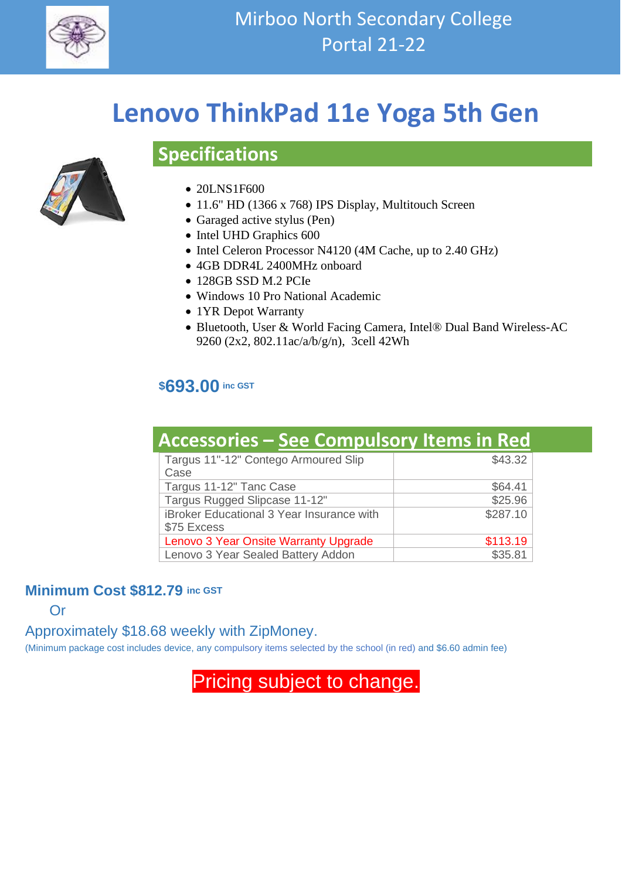

## **Lenovo ThinkPad 11e Yoga 5th Gen**



### • 20LNS1F600

**Specifications**

- 11.6" HD (1366 x 768) IPS Display, Multitouch Screen
- Garaged active stylus (Pen)
- Intel UHD Graphics 600
- Intel Celeron Processor N4120 (4M Cache, up to 2.40 GHz)
- 4GB DDR4L 2400MHz onboard
- 128GB SSD M.2 PCIe
- Windows 10 Pro National Academic
- 1YR Depot Warranty
- Bluetooth, User & World Facing Camera, Intel® Dual Band Wireless-AC 9260 (2x2, 802.11ac/a/b/g/n), 3cell 42Wh

### **\$693.00 inc GST**

| <b>Accessories - See Compulsory Items in Red</b> |          |
|--------------------------------------------------|----------|
| Targus 11"-12" Contego Armoured Slip<br>Case     | \$43.32  |
| Targus 11-12" Tanc Case                          | \$64.41  |
| Targus Rugged Slipcase 11-12"                    | \$25.96  |
| iBroker Educational 3 Year Insurance with        | \$287.10 |
| \$75 Excess                                      |          |
| Lenovo 3 Year Onsite Warranty Upgrade            | \$113.19 |
| Lenovo 3 Year Sealed Battery Addon               | \$35.81  |

### **Minimum Cost \$812.79 inc GST**

Or

### Approximately \$18.68 weekly with ZipMoney.

(Minimum package cost includes device, any compulsory items selected by the school (in red) and \$6.60 admin fee)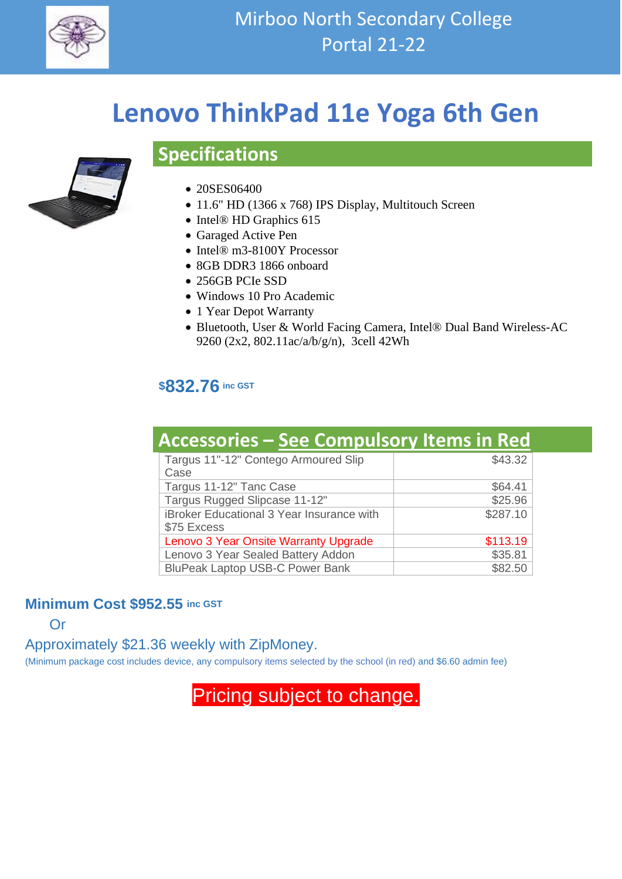

## **Lenovo ThinkPad 11e Yoga 6th Gen**



# **Specifications**

- 20SES06400
- 11.6" HD (1366 x 768) IPS Display, Multitouch Screen
- Intel® HD Graphics 615
- Garaged Active Pen
- Intel® m3-8100Y Processor
- 8GB DDR3 1866 onboard
- 256GB PCIe SSD
- Windows 10 Pro Academic
- 1 Year Depot Warranty
- Bluetooth, User & World Facing Camera, Intel® Dual Band Wireless-AC 9260 (2x2, 802.11ac/a/b/g/n), 3cell 42Wh

### **\$832.76 inc GST**

| <b>Accessories – See Compulsory Items in Red</b>         |          |
|----------------------------------------------------------|----------|
| Targus 11"-12" Contego Armoured Slip<br>Case             | \$43.32  |
| Targus 11-12" Tanc Case                                  | \$64.41  |
| Targus Rugged Slipcase 11-12"                            | \$25.96  |
| iBroker Educational 3 Year Insurance with<br>\$75 Excess | \$287.10 |
| Lenovo 3 Year Onsite Warranty Upgrade                    | \$113.19 |
| Lenovo 3 Year Sealed Battery Addon                       | \$35.81  |
| <b>BluPeak Laptop USB-C Power Bank</b>                   | \$82.50  |

### **Minimum Cost \$952.55 inc GST**

Or

Approximately \$21.36 weekly with ZipMoney.

(Minimum package cost includes device, any compulsory items selected by the school (in red) and \$6.60 admin fee)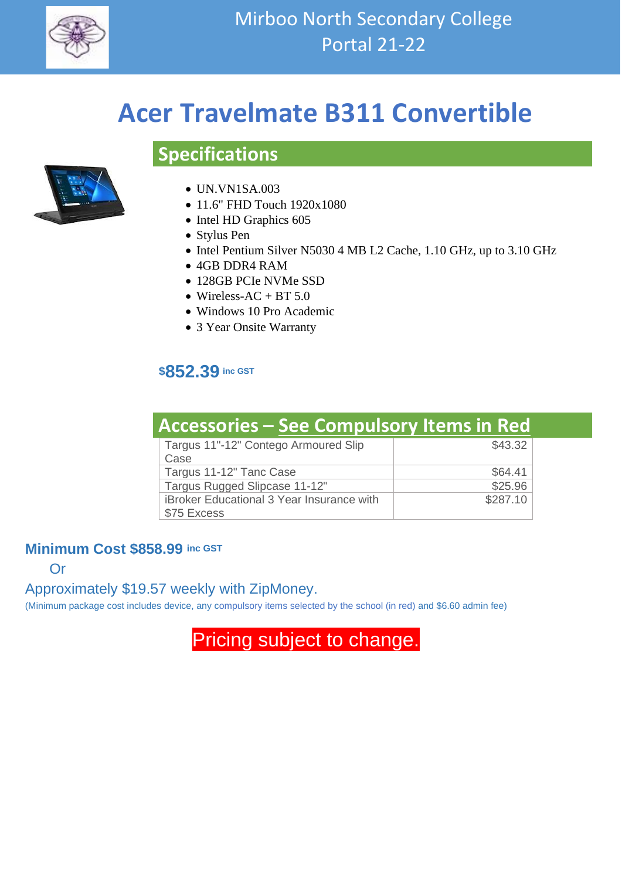

## **Acer Travelmate B311 Convertible**

## **Specifications**



- UN.VN1SA.003
- 11.6" FHD Touch 1920x1080
- Intel HD Graphics 605
- Stylus Pen
- Intel Pentium Silver N5030 4 MB L2 Cache, 1.10 GHz, up to 3.10 GHz
- 4GB DDR4 RAM
- 128GB PCIe NVMe SSD
- Wireless-AC + BT  $5.0$
- Windows 10 Pro Academic
- 3 Year Onsite Warranty

### **\$852.39 inc GST**

| <b>Accessories - See Compulsory Items in Red</b>                |          |
|-----------------------------------------------------------------|----------|
| Targus 11"-12" Contego Armoured Slip<br>Case                    | \$43.32  |
| Targus 11-12" Tanc Case                                         | \$64.41  |
| Targus Rugged Slipcase 11-12"                                   | \$25.96  |
| <b>iBroker Educational 3 Year Insurance with</b><br>\$75 Excess | \$287.10 |

### **Minimum Cost \$858.99 inc GST**

Or

Approximately \$19.57 weekly with ZipMoney.

(Minimum package cost includes device, any compulsory items selected by the school (in red) and \$6.60 admin fee)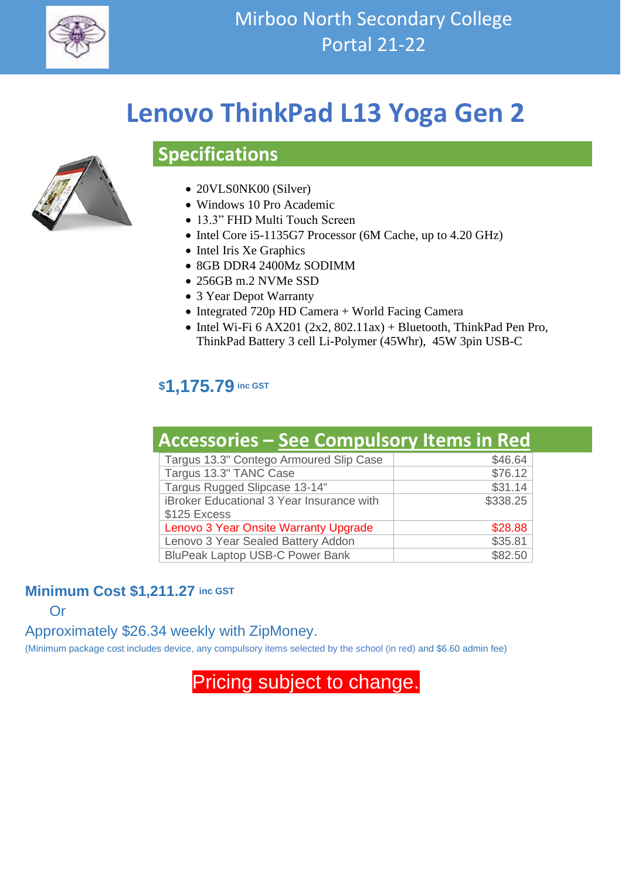

# **Lenovo ThinkPad L13 Yoga Gen 2**



### • 20VLS0NK00 (Silver)

**Specifications**

- Windows 10 Pro Academic
- 13.3" FHD Multi Touch Screen
- Intel Core i5-1135G7 Processor (6M Cache, up to 4.20 GHz)
- Intel Iris Xe Graphics
- 8GB DDR4 2400Mz SODIMM
- 256GB m.2 NVMe SSD
- 3 Year Depot Warranty
- Integrated 720p HD Camera + World Facing Camera
- Intel Wi-Fi  $6$  AX201 (2x2, 802.11ax) + Bluetooth, ThinkPad Pen Pro, ThinkPad Battery 3 cell Li-Polymer (45Whr), 45W 3pin USB-C

### **\$1,175.79 inc GST**

| <b>Accessories - See Compulsory Items in Red</b> |          |
|--------------------------------------------------|----------|
| Targus 13.3" Contego Armoured Slip Case          | \$46.64  |
| Targus 13.3" TANC Case                           | \$76.12  |
| Targus Rugged Slipcase 13-14"                    | \$31.14  |
| iBroker Educational 3 Year Insurance with        | \$338.25 |
| \$125 Excess                                     |          |
| Lenovo 3 Year Onsite Warranty Upgrade            | \$28.88  |
| Lenovo 3 Year Sealed Battery Addon               | \$35.81  |
| <b>BluPeak Laptop USB-C Power Bank</b>           | \$82.50  |

### **Minimum Cost \$1,211.27 inc GST**

Or

### Approximately \$26.34 weekly with ZipMoney.

(Minimum package cost includes device, any compulsory items selected by the school (in red) and \$6.60 admin fee)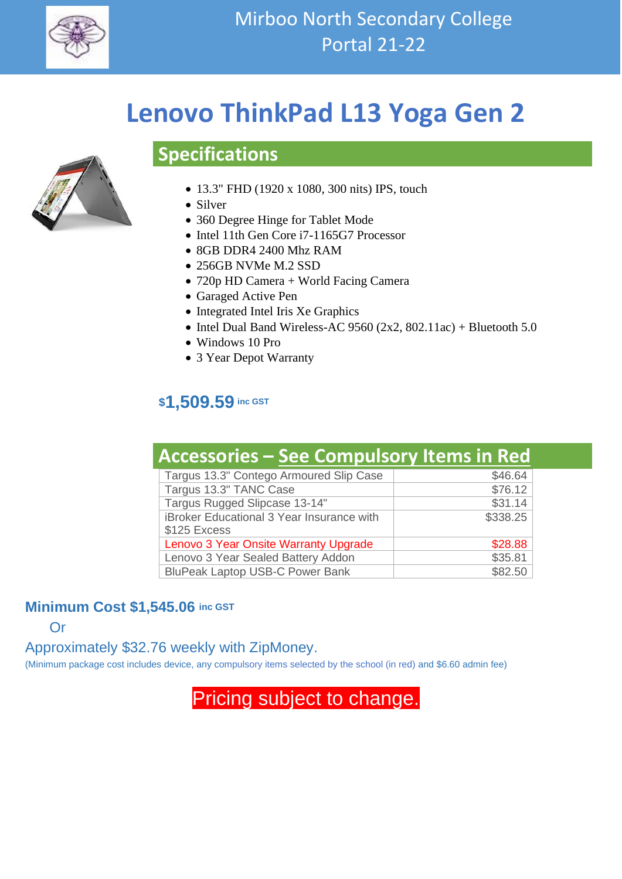

# **Lenovo ThinkPad L13 Yoga Gen 2**



## **Specifications**

- 13.3" FHD (1920 x 1080, 300 nits) IPS, touch
- Silver
- 360 Degree Hinge for Tablet Mode
- Intel 11th Gen Core i7-1165G7 Processor
- 8GB DDR4 2400 Mhz RAM
- 256GB NVMe M.2 SSD
- 720p HD Camera + World Facing Camera
- Garaged Active Pen
- Integrated Intel Iris Xe Graphics
- Intel Dual Band Wireless-AC 9560 (2x2, 802.11ac) + Bluetooth 5.0
- Windows 10 Pro
- 3 Year Depot Warranty

### **\$1,509.59 inc GST**

#### **Accessories – See Compulsory Items in Red** Targus 13.3" Contego Armoured Slip Case Targus 13.3" TANC Case \$76.12 Targus Rugged Slipcase 13-14" <br>
\$31.14 iBroker Educational 3 Year Insurance with \$125 Excess \$338.25 Lenovo 3 Year Onsite Warranty Upgrade **Fig. 10 S28.88** Lenovo 3 Year Sealed Battery Addon \$35.81 BluPeak Laptop USB-C Power Bank  $$82.50$

### **Minimum Cost \$1,545.06 inc GST**

Or

Approximately \$32.76 weekly with ZipMoney.

(Minimum package cost includes device, any compulsory items selected by the school (in red) and \$6.60 admin fee)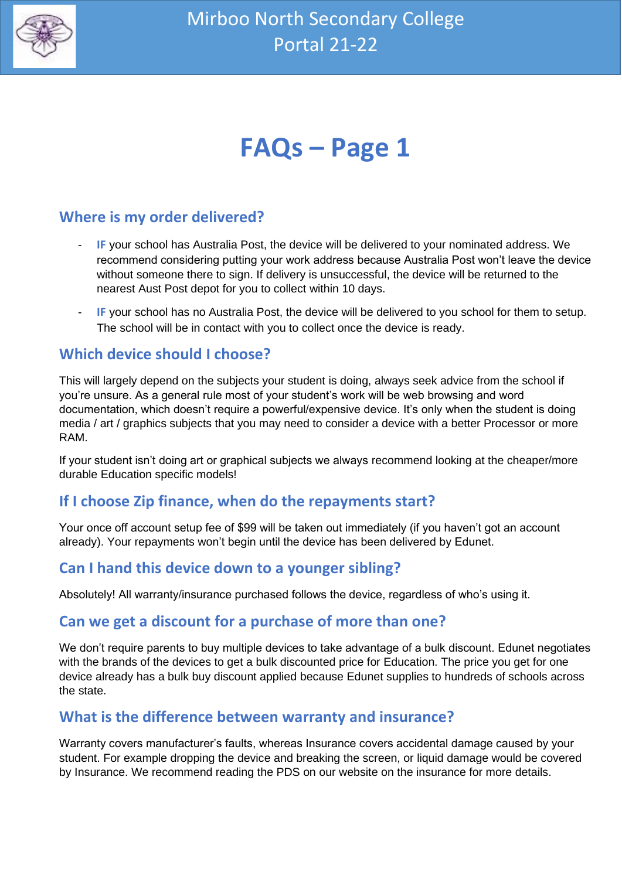

# **FAQs – Page 1**

### **Where is my order delivered?**

- **IF** your school has Australia Post, the device will be delivered to your nominated address. We recommend considering putting your work address because Australia Post won't leave the device without someone there to sign. If delivery is unsuccessful, the device will be returned to the nearest Aust Post depot for you to collect within 10 days.
- **IF** your school has no Australia Post, the device will be delivered to you school for them to setup. The school will be in contact with you to collect once the device is ready.

### **Which device should I choose?**

This will largely depend on the subjects your student is doing, always seek advice from the school if you're unsure. As a general rule most of your student's work will be web browsing and word documentation, which doesn't require a powerful/expensive device. It's only when the student is doing media / art / graphics subjects that you may need to consider a device with a better Processor or more RAM.

If your student isn't doing art or graphical subjects we always recommend looking at the cheaper/more durable Education specific models!

### **If I choose Zip finance, when do the repayments start?**

Your once off account setup fee of \$99 will be taken out immediately (if you haven't got an account already). Your repayments won't begin until the device has been delivered by Edunet.

### **Can I hand this device down to a younger sibling?**

Absolutely! All warranty/insurance purchased follows the device, regardless of who's using it.

### **Can we get a discount for a purchase of more than one?**

We don't require parents to buy multiple devices to take advantage of a bulk discount. Edunet negotiates with the brands of the devices to get a bulk discounted price for Education. The price you get for one device already has a bulk buy discount applied because Edunet supplies to hundreds of schools across the state.

### **What is the difference between warranty and insurance?**

Warranty covers manufacturer's faults, whereas Insurance covers accidental damage caused by your student. For example dropping the device and breaking the screen, or liquid damage would be covered by Insurance. We recommend reading the PDS on our website on the insurance for more details.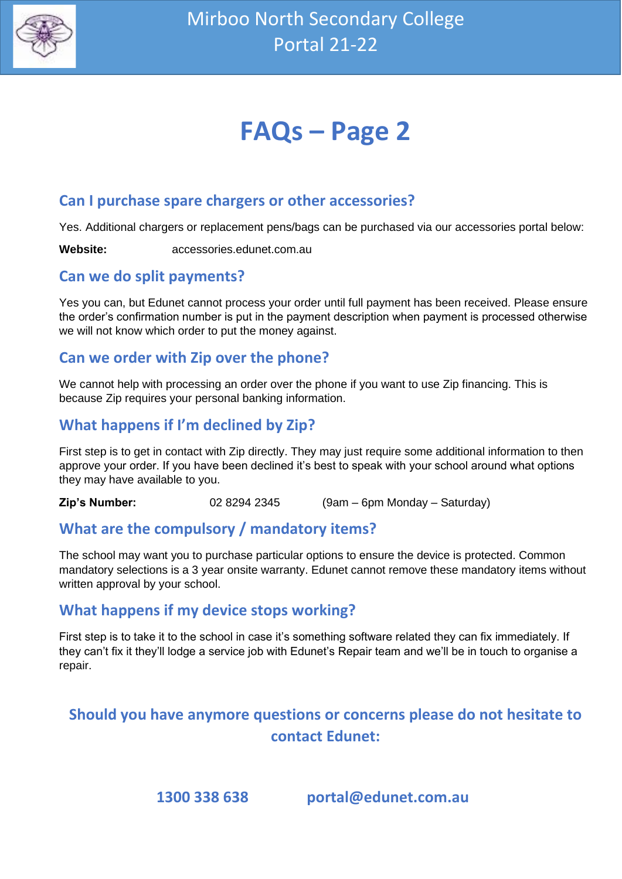

# **FAQs – Page 2**

### **Can I purchase spare chargers or other accessories?**

Yes. Additional chargers or replacement pens/bags can be purchased via our accessories portal below:

**Website:** accessories.edunet.com.au

### **Can we do split payments?**

Yes you can, but Edunet cannot process your order until full payment has been received. Please ensure the order's confirmation number is put in the payment description when payment is processed otherwise we will not know which order to put the money against.

### **Can we order with Zip over the phone?**

We cannot help with processing an order over the phone if you want to use Zip financing. This is because Zip requires your personal banking information.

### **What happens if I'm declined by Zip?**

First step is to get in contact with Zip directly. They may just require some additional information to then approve your order. If you have been declined it's best to speak with your school around what options they may have available to you.

**Zip's Number:** 02 8294 2345 (9am – 6pm Monday – Saturday)

### **What are the compulsory / mandatory items?**

The school may want you to purchase particular options to ensure the device is protected. Common mandatory selections is a 3 year onsite warranty. Edunet cannot remove these mandatory items without written approval by your school.

### **What happens if my device stops working?**

First step is to take it to the school in case it's something software related they can fix immediately. If they can't fix it they'll lodge a service job with Edunet's Repair team and we'll be in touch to organise a repair.

### **Should you have anymore questions or concerns please do not hesitate to contact Edunet:**

**1300 338 638 portal@edunet.com.au**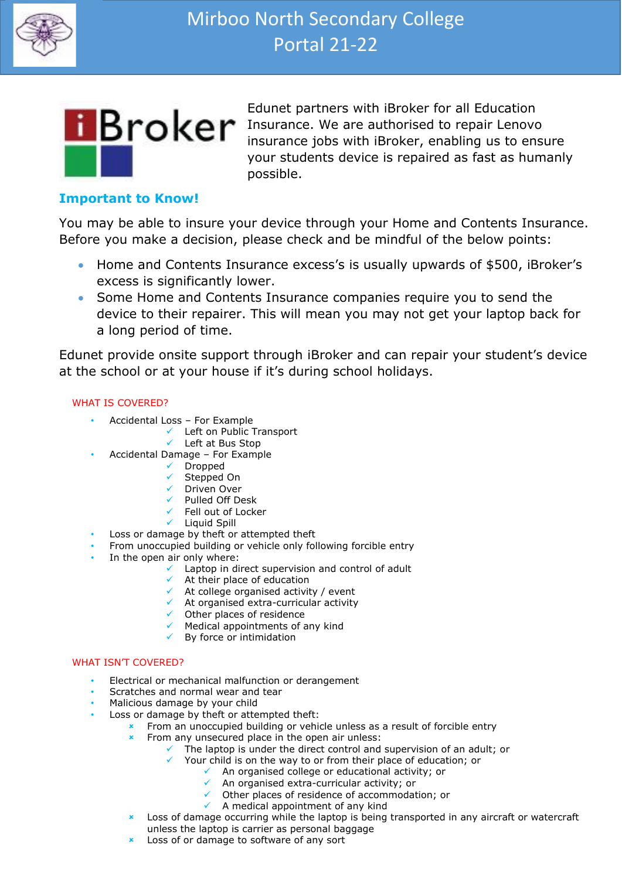



Edunet partners with iBroker for all Education **Broker** Insurance. We are authorised to repair Lenovo insurance jobs with iBroker, enabling us to ensure your students device is repaired as fast as humanly possible.

#### **Important to Know!**

You may be able to insure your device through your Home and Contents Insurance. Before you make a decision, please check and be mindful of the below points:

- Home and Contents Insurance excess's is usually upwards of \$500, iBroker's excess is significantly lower.
- Some Home and Contents Insurance companies require you to send the device to their repairer. This will mean you may not get your laptop back for a long period of time.

Edunet provide onsite support through iBroker and can repair your student's device at the school or at your house if it's during school holidays.

#### WHAT IS COVERED?

- Accidental Loss For Example
	- ✓ Left on Public Transport
		- ✓ Left at Bus Stop
	- Accidental Damage For Example
		- ✓ Dropped
		- ✓ Stepped On
		- ✓ Driven Over
		- ✓ Pulled Off Desk
		- ✓ Fell out of Locker
		- ✓ Liquid Spill
- Loss or damage by theft or attempted theft
- From unoccupied building or vehicle only following forcible entry
- In the open air only where:
	- $\checkmark$  Laptop in direct supervision and control of adult
	- $\checkmark$  At their place of education
		- $\checkmark$  At college organised activity / event
		- ✓ At organised extra-curricular activity
		- ✓ Other places of residence
		- $\checkmark$  Medical appointments of any kind
		- $\checkmark$  By force or intimidation

#### WHAT ISN'T COVERED?

- Electrical or mechanical malfunction or derangement
- Scratches and normal wear and tear
- Malicious damage by your child
- Loss or damage by theft or attempted theft:
	- From an unoccupied building or vehicle unless as a result of forcible entry
	- $\overline{\phantom{a}}$  From any unsecured place in the open air unless:
		- The laptop is under the direct control and supervision of an adult; or
			- Your child is on the way to or from their place of education; or
				- ✓ An organised college or educational activity; or
					- ✓ An organised extra-curricular activity; or
					- ✓ Other places of residence of accommodation; or
					- $\checkmark$  A medical appointment of any kind
	- **EX** Loss of damage occurring while the laptop is being transported in any aircraft or watercraft unless the laptop is carrier as personal baggage
	- **EXEC** Loss of or damage to software of any sort